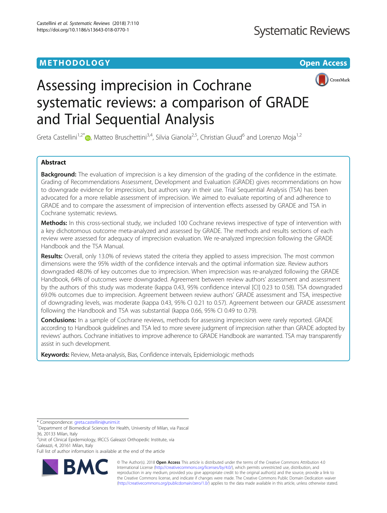## METHODOLOGY CONTROL CONTROL CONTROL CONTROL CONTROL CONTROL CONTROL CONTROL CONTROL CONTROL CONTROL CONTROL CO



# Assessing imprecision in Cochrane systematic reviews: a comparison of GRADE and Trial Sequential Analysis

Greta Castellini<sup>1[,](http://orcid.org/0000-0002-3345-8187)2\*</sup>  $\bullet$ , Matteo Bruschettini<sup>3,4</sup>, Silvia Gianola<sup>2,5</sup>, Christian Gluud<sup>6</sup> and Lorenzo Moja<sup>1,2</sup>

## Abstract

**Background:** The evaluation of imprecision is a key dimension of the grading of the confidence in the estimate. Grading of Recommendations Assessment, Development and Evaluation (GRADE) gives recommendations on how to downgrade evidence for imprecision, but authors vary in their use. Trial Sequential Analysis (TSA) has been advocated for a more reliable assessment of imprecision. We aimed to evaluate reporting of and adherence to GRADE and to compare the assessment of imprecision of intervention effects assessed by GRADE and TSA in Cochrane systematic reviews.

Methods: In this cross-sectional study, we included 100 Cochrane reviews irrespective of type of intervention with a key dichotomous outcome meta-analyzed and assessed by GRADE. The methods and results sections of each review were assessed for adequacy of imprecision evaluation. We re-analyzed imprecision following the GRADE Handbook and the TSA Manual.

Results: Overall, only 13.0% of reviews stated the criteria they applied to assess imprecision. The most common dimensions were the 95% width of the confidence intervals and the optimal information size. Review authors downgraded 48.0% of key outcomes due to imprecision. When imprecision was re-analyzed following the GRADE Handbook, 64% of outcomes were downgraded. Agreement between review authors' assessment and assessment by the authors of this study was moderate (kappa 0.43, 95% confidence interval [CI] 0.23 to 0.58). TSA downgraded 69.0% outcomes due to imprecision. Agreement between review authors' GRADE assessment and TSA, irrespective of downgrading levels, was moderate (kappa 0.43, 95% CI 0.21 to 0.57). Agreement between our GRADE assessment following the Handbook and TSA was substantial (kappa 0.66, 95% CI 0.49 to 0.79).

**Conclusions:** In a sample of Cochrane reviews, methods for assessing imprecision were rarely reported. GRADE according to Handbook guidelines and TSA led to more severe judgment of imprecision rather than GRADE adopted by reviews' authors. Cochrane initiatives to improve adherence to GRADE Handbook are warranted. TSA may transparently assist in such development.

Keywords: Review, Meta-analysis, Bias, Confidence intervals, Epidemiologic methods

\* Correspondence: [greta.castellini@unimi.it](mailto:greta.castellini@unimi.it) <sup>1</sup>

Full list of author information is available at the end of the article



© The Author(s). 2018 Open Access This article is distributed under the terms of the Creative Commons Attribution 4.0 International License [\(http://creativecommons.org/licenses/by/4.0/](http://creativecommons.org/licenses/by/4.0/)), which permits unrestricted use, distribution, and reproduction in any medium, provided you give appropriate credit to the original author(s) and the source, provide a link to the Creative Commons license, and indicate if changes were made. The Creative Commons Public Domain Dedication waiver [\(http://creativecommons.org/publicdomain/zero/1.0/](http://creativecommons.org/publicdomain/zero/1.0/)) applies to the data made available in this article, unless otherwise stated.

<sup>&</sup>lt;sup>1</sup>Department of Biomedical Sciences for Health, University of Milan, via Pascal 36, 20133 Milan, Italy

<sup>&</sup>lt;sup>2</sup>Unit of Clinical Epidemiology, IRCCS Galeazzi Orthopedic Institute, via Galeazzi, 4, 20161 Milan, Italy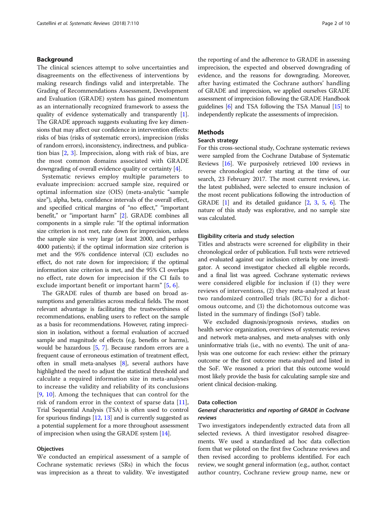## Background

The clinical sciences attempt to solve uncertainties and disagreements on the effectiveness of interventions by making research findings valid and interpretable. The Grading of Recommendations Assessment, Development and Evaluation (GRADE) system has gained momentum as an internationally recognized framework to assess the quality of evidence systematically and transparently [[1](#page-8-0)]. The GRADE approach suggests evaluating five key dimensions that may affect our confidence in intervention effects: risks of bias (risks of systematic errors), imprecision (risks of random errors), inconsistency, indirectness, and publication bias [\[2](#page-8-0), [3\]](#page-8-0). Imprecision, along with risk of bias, are the most common domains associated with GRADE downgrading of overall evidence quality or certainty [\[4\]](#page-8-0).

Systematic reviews employ multiple parameters to evaluate imprecision: accrued sample size, required or optimal information size (OIS) (meta-analytic "sample size"), alpha, beta, confidence intervals of the overall effect, and specified critical margins of "no effect," "important benefit," or "important harm" [\[2\]](#page-8-0). GRADE combines all components in a simple rule: "If the optimal information size criterion is not met, rate down for imprecision, unless the sample size is very large (at least 2000, and perhaps 4000 patients); if the optimal information size criterion is met and the 95% confidence interval (CI) excludes no effect, do not rate down for imprecision; if the optimal information size criterion is met, and the 95% CI overlaps no effect, rate down for imprecision if the CI fails to exclude important benefit or important harm" [[5,](#page-8-0) [6\]](#page-8-0).

The GRADE rules of thumb are based on broad assumptions and generalities across medical fields. The most relevant advantage is facilitating the trustworthiness of recommendations, enabling users to reflect on the sample as a basis for recommendations. However, rating imprecision in isolation, without a formal evaluation of accrued sample and magnitude of effects (e.g. benefits or harms), would be hazardous [\[5](#page-8-0), [7\]](#page-8-0). Because random errors are a frequent cause of erroneous estimation of treatment effect, often in small meta-analyses [[8\]](#page-8-0), several authors have highlighted the need to adjust the statistical threshold and calculate a required information size in meta-analyses to increase the validity and reliability of its conclusions [[9,](#page-8-0) [10\]](#page-8-0). Among the techniques that can control for the risk of random error in the context of sparse data [\[11](#page-8-0)], Trial Sequential Analysis (TSA) is often used to control for spurious findings [\[12,](#page-8-0) [13\]](#page-8-0) and is currently suggested as a potential supplement for a more throughout assessment of imprecision when using the GRADE system [[14](#page-8-0)].

#### **Objectives**

We conducted an empirical assessment of a sample of Cochrane systematic reviews (SRs) in which the focus was imprecision as a threat to validity. We investigated

the reporting of and the adherence to GRADE in assessing imprecision, the expected and observed downgrading of evidence, and the reasons for downgrading. Moreover, after having estimated the Cochrane authors' handling of GRADE and imprecision, we applied ourselves GRADE assessment of imprecision following the GRADE Handbook guidelines [\[6\]](#page-8-0) and TSA following the TSA Manual [\[15\]](#page-8-0) to independently replicate the assessments of imprecision.

## Methods

## Search strategy

For this cross-sectional study, Cochrane systematic reviews were sampled from the Cochrane Database of Systematic Reviews [\[16\]](#page-8-0). We purposively retrieved 100 reviews in reverse chronological order starting at the time of our search, 23 February 2017. The most current reviews, i.e. the latest published, were selected to ensure inclusion of the most recent publications following the introduction of GRADE [\[1](#page-8-0)] and its detailed guidance [\[2,](#page-8-0) [3,](#page-8-0) [5,](#page-8-0) [6\]](#page-8-0). The nature of this study was explorative, and no sample size was calculated.

## Eligibility criteria and study selection

Titles and abstracts were screened for eligibility in their chronological order of publication. Full texts were retrieved and evaluated against our inclusion criteria by one investigator. A second investigator checked all eligible records, and a final list was agreed. Cochrane systematic reviews were considered eligible for inclusion if (1) they were reviews of interventions, (2) they meta-analyzed at least two randomized controlled trials (RCTs) for a dichotomous outcome, and (3) the dichotomous outcome was listed in the summary of findings (SoF) table.

We excluded diagnosis/prognosis reviews, studies on health service organization, overviews of systematic reviews and network meta-analyses, and meta-analyses with only uninformative trials (i.e., with no events). The unit of analysis was one outcome for each review: either the primary outcome or the first outcome meta-analyzed and listed in the SoF. We reasoned a priori that this outcome would most likely provide the basis for calculating sample size and orient clinical decision-making.

## Data collection

## General characteristics and reporting of GRADE in Cochrane reviews

Two investigators independently extracted data from all selected reviews. A third investigator resolved disagreements. We used a standardized ad hoc data collection form that we piloted on the first five Cochrane reviews and then revised according to problems identified. For each review, we sought general information (e.g., author, contact author country, Cochrane review group name, new or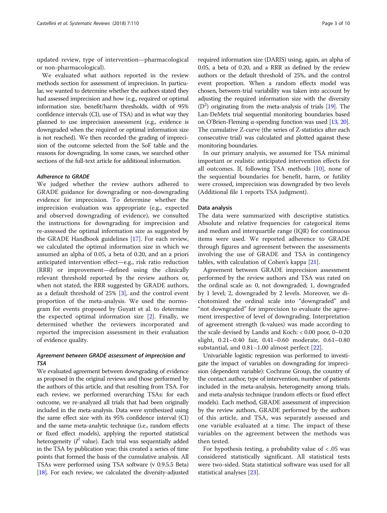updated review, type of intervention—pharmacological or non-pharmacological).

We evaluated what authors reported in the review methods section for assessment of imprecision. In particular, we wanted to determine whether the authors stated they had assessed imprecision and how (e.g., required or optimal information size, benefit/harm thresholds, width of 95% confidence intervals (CI), use of TSA) and in what way they planned to use imprecision assessment (e.g., evidence is downgraded when the required or optimal information size is not reached). We then recorded the grading of imprecision of the outcome selected from the SoF table and the reasons for downgrading. In some cases, we searched other sections of the full-text article for additional information.

#### Adherence to GRADE

We judged whether the review authors adhered to GRADE guidance for downgrading or non-downgrading evidence for imprecision. To determine whether the imprecision evaluation was appropriate (e.g., expected and observed downgrading of evidence), we consulted the instructions for downgrading for imprecision and re-assessed the optimal information size as suggested by the GRADE Handbook guidelines [[17\]](#page-8-0). For each review, we calculated the optimal information size in which we assumed an alpha of 0.05, a beta of 0.20, and an a priori anticipated intervention effect—e.g., risk ratio reduction (RRR) or improvement—defined using the clinically relevant threshold reported by the review authors or, when not stated, the RRR suggested by GRADE authors, as a default threshold of 25% [[3\]](#page-8-0), and the control event proportion of the meta-analysis. We used the normogram for events proposed by Guyatt et al. to determine the expected optimal information size [[2](#page-8-0)]. Finally, we determined whether the reviewers incorporated and reported the imprecision assessment in their evaluation of evidence quality.

## Agreement between GRADE assessment of imprecision and TSA

We evaluated agreement between downgrading of evidence as proposed in the original reviews and those performed by the authors of this article, and that resulting from TSA. For each review, we performed overarching TSAs: for each outcome, we re-analyzed all trials that had been originally included in the meta-analysis. Data were synthesized using the same effect size with its 95% confidence interval (CI) and the same meta-analytic technique (i.e., random effects or fixed effect models), applying the reported statistical heterogeneity ( $I^2$  value). Each trial was sequentially added<br>in the TSA by publication year; this created a series of time in the TSA by publication year; this created a series of time points that formed the basis of the cumulative analysis. All TSAs were performed using TSA software (v 0.9.5.5 Beta) [[18](#page-8-0)]. For each review, we calculated the diversity-adjusted

required information size (DARIS) using, again, an alpha of 0.05, a beta of 0.20, and a RRR as defined by the review authors or the default threshold of 25%, and the control event proportion. When a random effects model was chosen, between-trial variability was taken into account by adjusting the required information size with the diversity  $(D<sup>2</sup>)$  originating from the meta-analysis of trials [[19\]](#page-8-0). The Lan-DeMets trial sequential monitoring boundaries based on O'Brien-Fleming α-spending function was used [[13](#page-8-0), [20](#page-8-0)]. The cumulative Z-curve (the series of Z-statistics after each consecutive trial) was calculated and plotted against these monitoring boundaries.

In our primary analysis, we assumed for TSA minimal important or realistic anticipated intervention effects for all outcomes. If, following TSA methods [[10\]](#page-8-0), none of the sequential boundaries for benefit, harm, or futility were crossed, imprecision was downgraded by two levels (Additional file [1](#page-8-0) reports TSA judgment).

#### Data analysis

The data were summarized with descriptive statistics. Absolute and relative frequencies for categorical items and median and interquartile range (IQR) for continuous items were used. We reported adherence to GRADE through figures and agreement between the assessments involving the use of GRADE and TSA in contingency tables, with calculation of Cohen's kappa [[21](#page-8-0)].

Agreement between GRADE imprecision assessment performed by the review authors and TSA was rated on the ordinal scale as: 0, not downgraded; 1, downgraded by 1 level; 2, downgraded by 2 levels. Moreover, we dichotomized the ordinal scale into "downgraded" and "not downgraded" for imprecision to evaluate the agreement irrespective of level of downgrading. Interpretation of agreement strength (k-values) was made according to the scale devised by Landis and Koch: < 0.00 poor, 0–0.20 slight, 0.21–0.40 fair, 0.41–0.60 moderate, 0.61–0.80 substantial, and 0.81–1.00 almost perfect [[22\]](#page-9-0).

Univariable logistic regression was performed to investigate the impact of variables on downgrading for imprecision (dependent variable): Cochrane Group, the country of the contact author, type of intervention, number of patients included in the meta-analysis, heterogeneity among trials, and meta-analysis technique (random effects or fixed effect models). Each method, GRADE assessment of imprecision by the review authors, GRADE performed by the authors of this article, and TSA, was separately assessed and one variable evaluated at a time. The impact of these variables on the agreement between the methods was then tested.

For hypothesis testing, a probability value of  $<$  0.05 was considered statistically significant. All statistical tests were two-sided. Stata statistical software was used for all statistical analyses [[23\]](#page-9-0).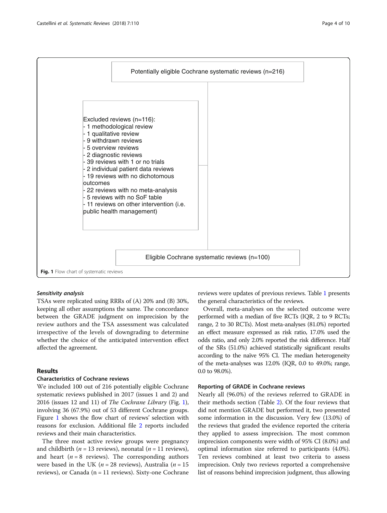

## Sensitivity analysis

TSAs were replicated using RRRs of (A) 20% and (B) 30%, keeping all other assumptions the same. The concordance between the GRADE judgment on imprecision by the review authors and the TSA assessment was calculated irrespective of the levels of downgrading to determine whether the choice of the anticipated intervention effect affected the agreement.

## Results

## Characteristics of Cochrane reviews

We included 100 out of 216 potentially eligible Cochrane systematic reviews published in 2017 (issues 1 and 2) and 2016 (issues 12 and 11) of The Cochrane Library (Fig. 1), involving 36 (67.9%) out of 53 different Cochrane groups. Figure 1 shows the flow chart of reviews' selection with reasons for exclusion. Additional file [2](#page-8-0) reports included reviews and their main characteristics.

The three most active review groups were pregnancy and childbirth ( $n = 13$  reviews), neonatal ( $n = 11$  reviews), and heart ( $n = 8$  reviews). The corresponding authors were based in the UK ( $n = 28$  reviews), Australia ( $n = 15$ reviews), or Canada (n = 11 reviews). Sixty-one Cochrane reviews were updates of previous reviews. Table [1](#page-4-0) presents the general characteristics of the reviews.

Overall, meta-analyses on the selected outcome were performed with a median of five RCTs (IQR, 2 to 9 RCTs; range, 2 to 30 RCTs). Most meta-analyses (81.0%) reported an effect measure expressed as risk ratio, 17.0% used the odds ratio, and only 2.0% reported the risk difference. Half of the SRs (51.0%) achieved statistically significant results according to the naïve 95% CI. The median heterogeneity of the meta-analyses was 12.0% (IQR, 0.0 to 49.0%; range, 0.0 to 98.0%).

#### Reporting of GRADE in Cochrane reviews

Nearly all (96.0%) of the reviews referred to GRADE in their methods section (Table [2\)](#page-4-0). Of the four reviews that did not mention GRADE but performed it, two presented some information in the discussion. Very few (13.0%) of the reviews that graded the evidence reported the criteria they applied to assess imprecision. The most common imprecision components were width of 95% CI (8.0%) and optimal information size referred to participants (4.0%). Ten reviews combined at least two criteria to assess imprecision. Only two reviews reported a comprehensive list of reasons behind imprecision judgment, thus allowing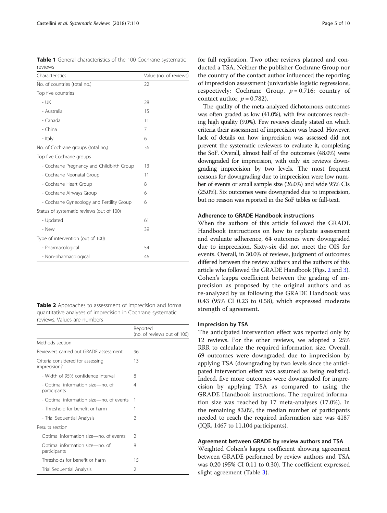<span id="page-4-0"></span>Table 1 General characteristics of the 100 Cochrane systematic reviews

| Characteristics                           | Value (no. of reviews) |  |
|-------------------------------------------|------------------------|--|
| No. of countries (total no.)              | 22                     |  |
| Top five countries                        |                        |  |
| $-$ UK                                    | 28                     |  |
| - Australia                               | 15                     |  |
| - Canada                                  | 11                     |  |
| - China                                   | 7                      |  |
| - Italy                                   | 6                      |  |
| No. of Cochrane groups (total no,)        | 36                     |  |
| Top five Cochrane groups                  |                        |  |
| - Cochrane Pregnancy and Childbirth Group | 13                     |  |
| - Cochrane Neonatal Group                 | 11                     |  |
| - Cochrane Heart Group                    | 8                      |  |
| - Cochrane Airways Group                  | 6                      |  |
| - Cochrane Gynecology and Fertility Group | 6                      |  |
| Status of systematic reviews (out of 100) |                        |  |
| - Updated                                 | 61                     |  |
| - New                                     | 39                     |  |
| Type of intervention (out of 100)         |                        |  |
| - Pharmacological                         | 54                     |  |
| - Non-pharmacological                     | 46                     |  |

Table 2 Approaches to assessment of imprecision and formal quantitative analyses of imprecision in Cochrane systematic reviews. Values are numbers

|                                                   | Reported<br>(no. of reviews out of 100) |
|---------------------------------------------------|-----------------------------------------|
| Methods section                                   |                                         |
| Reviewers carried out GRADE assessment            | 96                                      |
| Criteria considered for assessing<br>imprecision? | 13                                      |
| - Width of 95% confidence interval                | 8                                       |
| - Optimal information size-no. of<br>participants | 4                                       |
| - Optimal information size-no. of events          | 1                                       |
| - Threshold for benefit or harm                   | 1                                       |
| - Trial Sequential Analysis                       | $\mathcal{P}$                           |
| Results section                                   |                                         |
| Optimal information size-no. of events            | $\mathcal{P}$                           |
| Optimal information size-no. of<br>participants   | 8                                       |
| Thresholds for benefit or harm                    | 15                                      |
| Trial Sequential Analysis                         | $\mathfrak{D}$                          |

for full replication. Two other reviews planned and conducted a TSA. Neither the publisher Cochrane Group nor the country of the contact author influenced the reporting of imprecision assessment (univariable logistic regressions, respectively: Cochrane Group,  $p = 0.716$ ; country of contact author,  $p = 0.782$ ).

The quality of the meta-analyzed dichotomous outcomes was often graded as low (41.0%), with few outcomes reaching high quality (9.0%). Few reviews clearly stated on which criteria their assessment of imprecision was based. However, lack of details on how imprecision was assessed did not prevent the systematic reviewers to evaluate it, completing the SoF. Overall, almost half of the outcomes (48.0%) were downgraded for imprecision, with only six reviews downgrading imprecision by two levels. The most frequent reasons for downgrading due to imprecision were low number of events or small sample size (26.0%) and wide 95% CIs (25.0%). Six outcomes were downgraded due to imprecision, but no reason was reported in the SoF tables or full-text.

## Adherence to GRADE Handbook instructions

When the authors of this article followed the GRADE Handbook instructions on how to replicate assessment and evaluate adherence, 64 outcomes were downgraded due to imprecision. Sixty-six did not meet the OIS for events. Overall, in 30.0% of reviews, judgment of outcomes differed between the review authors and the authors of this article who followed the GRADE Handbook (Figs. [2](#page-5-0) and [3](#page-5-0)). Cohen's kappa coefficient between the grading of imprecision as proposed by the original authors and as re-analyzed by us following the GRADE Handbook was 0.43 (95% CI 0.23 to 0.58), which expressed moderate strength of agreement.

#### Imprecision by TSA

The anticipated intervention effect was reported only by 12 reviews. For the other reviews, we adopted a 25% RRR to calculate the required information size. Overall, 69 outcomes were downgraded due to imprecision by applying TSA (downgrading by two levels since the anticipated intervention effect was assumed as being realistic). Indeed, five more outcomes were downgraded for imprecision by applying TSA as compared to using the GRADE Handbook instructions. The required information size was reached by 17 meta-analyses (17.0%). In the remaining 83.0%, the median number of participants needed to reach the required information size was 4187 (IQR, 1467 to 11,104 participants).

## Agreement between GRADE by review authors and TSA

Weighted Cohen's kappa coefficient showing agreement between GRADE performed by review authors and TSA was 0.20 (95% CI 0.11 to 0.30). The coefficient expressed slight agreement (Table [3\)](#page-6-0).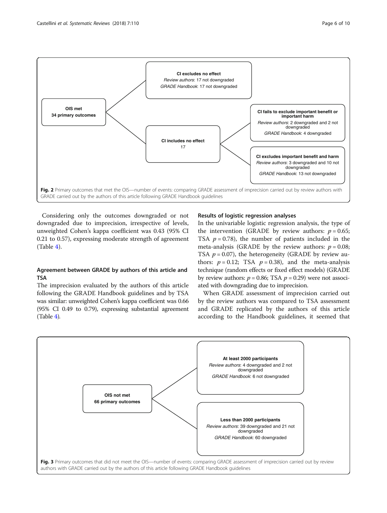

<span id="page-5-0"></span>

Considering only the outcomes downgraded or not downgraded due to imprecision, irrespective of levels, unweighted Cohen's kappa coefficient was 0.43 (95% CI 0.21 to 0.57), expressing moderate strength of agreement (Table [4\)](#page-6-0).

## Agreement between GRADE by authors of this article and **TSA**

The imprecision evaluated by the authors of this article following the GRADE Handbook guidelines and by TSA was similar: unweighted Cohen's kappa coefficient was 0.66 (95% CI 0.49 to 0.79), expressing substantial agreement (Table [4](#page-6-0)).

## Results of logistic regression analyses

In the univariable logistic regression analysis, the type of the intervention (GRADE by review authors:  $p = 0.65$ ; TSA  $p = 0.78$ ), the number of patients included in the meta-analysis (GRADE by the review authors:  $p = 0.08$ ; TSA  $p = 0.07$ ), the heterogeneity (GRADE by review authors:  $p = 0.12$ ; TSA  $p = 0.38$ ), and the meta-analysis technique (random effects or fixed effect models) (GRADE by review authors:  $p = 0.86$ ; TSA  $p = 0.29$ ) were not associated with downgrading due to imprecision.

When GRADE assessment of imprecision carried out by the review authors was compared to TSA assessment and GRADE replicated by the authors of this article according to the Handbook guidelines, it seemed that

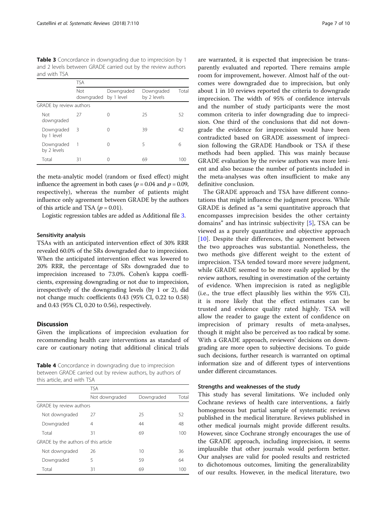<span id="page-6-0"></span>Table 3 Concordance in downgrading due to imprecision by 1 and 2 levels between GRADE carried out by the review authors and with TSA

|                           | <b>TSA</b>                   |            |                           |       |
|---------------------------|------------------------------|------------|---------------------------|-------|
|                           | Not<br>downgraded by 1 level | Downgraded | Downgraded<br>by 2 levels | Total |
| GRADE by review authors   |                              |            |                           |       |
| Not<br>downgraded         | 27                           |            | 25                        | 52    |
| Downgraded<br>by 1 level  | - 3                          | ∩          | 39                        | 42    |
| Downgraded<br>by 2 levels | 1                            |            | 5                         | 6     |
| Total                     | 31                           |            | 69                        | 100   |

the meta-analytic model (random or fixed effect) might influence the agreement in both cases ( $p = 0.04$  and  $p = 0.09$ , respectively), whereas the number of patients might influence only agreement between GRADE by the authors of this article and TSA  $(p = 0.01)$ .

Logistic regression tables are added as Additional file [3.](#page-8-0)

#### Sensitivity analysis

TSAs with an anticipated intervention effect of 30% RRR revealed 60.0% of the SRs downgraded due to imprecision. When the anticipated intervention effect was lowered to 20% RRR, the percentage of SRs downgraded due to imprecision increased to 73.0%. Cohen's kappa coefficients, expressing downgrading or not due to imprecision, irrespectively of the downgrading levels (by 1 or 2), did not change much: coefficients 0.43 (95% CI, 0.22 to 0.58) and 0.43 (95% CI, 0.20 to 0.56), respectively.

## **Discussion**

Given the implications of imprecision evaluation for recommending health care interventions as standard of care or cautionary noting that additional clinical trials

Table 4 Concordance in downgrading due to imprecision between GRADE carried out by review authors, by authors of this article, and with TSA

|                                      | <b>TSA</b>     |            |       |
|--------------------------------------|----------------|------------|-------|
|                                      | Not downgraded | Downgraded | Total |
| GRADE by review authors              |                |            |       |
| Not downgraded                       | 27             | 25         | 52    |
| Downgraded                           | 4              | 44         | 48    |
| Total                                | 31             | 69         | 100   |
| GRADE by the authors of this article |                |            |       |
| Not downgraded                       | 26             | 10         | 36    |
| Downgraded                           | 5              | 59         | 64    |
| Total                                | 31             | 69         | 100   |

are warranted, it is expected that imprecision be transparently evaluated and reported. There remains ample room for improvement, however. Almost half of the outcomes were downgraded due to imprecision, but only about 1 in 10 reviews reported the criteria to downgrade imprecision. The width of 95% of confidence intervals and the number of study participants were the most common criteria to infer downgrading due to imprecision. One third of the conclusions that did not downgrade the evidence for imprecision would have been contradicted based on GRADE assessment of imprecision following the GRADE Handbook or TSA if these methods had been applied. This was mainly because GRADE evaluation by the review authors was more lenient and also because the number of patients included in the meta-analyses was often insufficient to make any definitive conclusion.

The GRADE approach and TSA have different connotations that might influence the judgment process. While GRADE is defined as "a semi quantitative approach that encompasses imprecision besides the other certainty domains" and has intrinsic subjectivity [\[5](#page-8-0)], TSA can be viewed as a purely quantitative and objective approach [[10\]](#page-8-0). Despite their differences, the agreement between the two approaches was substantial. Nonetheless, the two methods give different weight to the extent of imprecision. TSA tended toward more severe judgment, while GRADE seemed to be more easily applied by the review authors, resulting in overestimation of the certainty of evidence. When imprecision is rated as negligible (i.e., the true effect plausibly lies within the 95% CI), it is more likely that the effect estimates can be trusted and evidence quality rated highly. TSA will allow the reader to gauge the extent of confidence on imprecision of primary results of meta-analyses, though it might also be perceived as too radical by some. With a GRADE approach, reviewers' decisions on downgrading are more open to subjective decisions. To guide such decisions, further research is warranted on optimal information size and of different types of interventions under different circumstances.

#### Strengths and weaknesses of the study

This study has several limitations. We included only Cochrane reviews of health care interventions, a fairly homogeneous but partial sample of systematic reviews published in the medical literature. Reviews published in other medical journals might provide different results. However, since Cochrane strongly encourages the use of the GRADE approach, including imprecision, it seems implausible that other journals would perform better. Our analyses are valid for pooled results and restricted to dichotomous outcomes, limiting the generalizability of our results. However, in the medical literature, two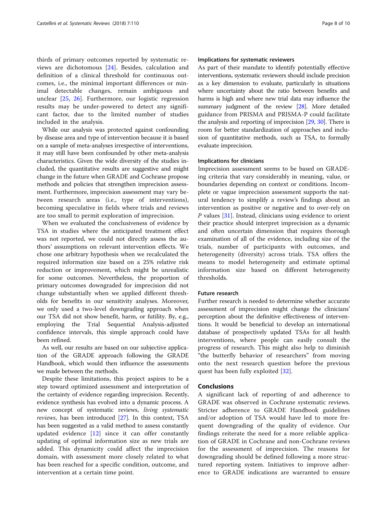thirds of primary outcomes reported by systematic reviews are dichotomous [[24\]](#page-9-0). Besides, calculation and definition of a clinical threshold for continuous outcomes, i.e., the minimal important differences or minimal detectable changes, remain ambiguous and unclear [[25,](#page-9-0) [26](#page-9-0)]. Furthermore, our logistic regression results may be under-powered to detect any significant factor, due to the limited number of studies included in the analysis.

While our analysis was protected against confounding by disease area and type of intervention because it is based on a sample of meta-analyses irrespective of interventions, it may still have been confounded by other meta-analysis characteristics. Given the wide diversity of the studies included, the quantitative results are suggestive and might change in the future when GRADE and Cochrane propose methods and policies that strengthen imprecision assessment. Furthermore, imprecision assessment may vary between research areas (i.e., type of interventions), becoming speculative in fields where trials and reviews are too small to permit exploration of imprecision.

When we evaluated the conclusiveness of evidence by TSA in studies where the anticipated treatment effect was not reported, we could not directly assess the authors' assumptions on relevant intervention effects. We chose one arbitrary hypothesis when we recalculated the required information size based on a 25% relative risk reduction or improvement, which might be unrealistic for some outcomes. Nevertheless, the proportion of primary outcomes downgraded for imprecision did not change substantially when we applied different thresholds for benefits in our sensitivity analyses. Moreover, we only used a two-level downgrading approach when our TSA did not show benefit, harm, or futility. By, e.g., employing the Trial Sequential Analysis-adjusted confidence intervals, this simple approach could have been refined.

As well, our results are based on our subjective application of the GRADE approach following the GRADE Handbook, which would then influence the assessments we made between the methods.

Despite these limitations, this project aspires to be a step toward optimized assessment and interpretation of the certainty of evidence regarding imprecision. Recently, evidence synthesis has evolved into a dynamic process. A new concept of systematic reviews, living systematic reviews, has been introduced [[27](#page-9-0)]. In this context, TSA has been suggested as a valid method to assess constantly updated evidence [\[12](#page-8-0)] since it can offer constantly updating of optimal information size as new trials are added. This dynamicity could affect the imprecision domain, with assessment more closely related to what has been reached for a specific condition, outcome, and intervention at a certain time point.

#### Implications for systematic reviewers

As part of their mandate to identify potentially effective interventions, systematic reviewers should include precision as a key dimension to evaluate, particularly in situations where uncertainty about the ratio between benefits and harms is high and where new trial data may influence the summary judgment of the review [\[28\]](#page-9-0). More detailed guidance from PRISMA and PRISMA-P could facilitate the analysis and reporting of imprecision [[29,](#page-9-0) [30\]](#page-9-0). There is room for better standardization of approaches and inclusion of quantitative methods, such as TSA, to formally evaluate imprecision.

#### Implications for clinicians

Imprecision assessment seems to be based on GRADEing criteria that vary considerably in meaning, value, or boundaries depending on context or conditions. Incomplete or vague imprecision assessment supports the natural tendency to simplify a review's findings about an intervention as positive or negative and to over-rely on  $P$  values [[31\]](#page-9-0). Instead, clinicians using evidence to orient their practice should interpret imprecision as a dynamic and often uncertain dimension that requires thorough examination of all of the evidence, including size of the trials, number of participants with outcomes, and heterogeneity (diversity) across trials. TSA offers the means to model heterogeneity and estimate optimal information size based on different heterogeneity thresholds.

## Future research

Further research is needed to determine whether accurate assessment of imprecision might change the clinicians' perception about the definitive effectiveness of interventions. It would be beneficial to develop an international database of prospectively updated TSAs for all health interventions, where people can easily consult the progress of research. This might also help to diminish "the butterfly behavior of researchers" from moving onto the next research question before the previous quest has been fully exploited [[32\]](#page-9-0).

## Conclusions

A significant lack of reporting of and adherence to GRADE was observed in Cochrane systematic reviews. Stricter adherence to GRADE Handbook guidelines and/or adoption of TSA would have led to more frequent downgrading of the quality of evidence. Our findings reiterate the need for a more reliable application of GRADE in Cochrane and non-Cochrane reviews for the assessment of imprecision. The reasons for downgrading should be defined following a more structured reporting system. Initiatives to improve adherence to GRADE indications are warranted to ensure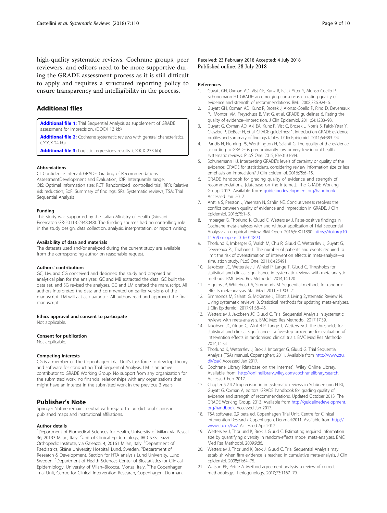<span id="page-8-0"></span>high-quality systematic reviews. Cochrane groups, peer reviewers, and editors need to be more supportive during the GRADE assessment process as it is still difficult to apply and requires a structured reporting policy to ensure transparency and intelligibility in the process.

## Additional files

[Additional file 1:](https://doi.org/10.1186/s13643-018-0770-1) Trial Sequential Analysis as supplement of GRADE assessment for imprecision. (DOCX 13 kb)

[Additional file 2:](https://doi.org/10.1186/s13643-018-0770-1) Cochrane systematic reviews with general characteristics. (DOCX 24 kb)

[Additional file 3:](https://doi.org/10.1186/s13643-018-0770-1) Logistic regressions results. (DOCX 273 kb)

#### Abbreviations

CI: Confidence interval; GRADE: Grading of Recommendations AssessmentDevelopment and Evaluation; IQR: Interquartile range; OIS: Optimal information size; RCT: Randomized controlled trial; RRR: Relative risk reduction; SoF: Summary of findings; SRs: Systematic reviews; TSA: Trial Sequential Analysis

#### Funding

This study was supported by the Italian Ministry of Health (Giovani Ricercatori GR-2011-02348048). The funding sources had no controlling role in the study design, data collection, analysis, interpretation, or report writing.

#### Availability of data and materials

The datasets used and/or analyzed during the current study are available from the corresponding author on reasonable request.

#### Authors' contributions

GC, LM, and CG conceived and designed the study and prepared an analytical plan for the analyses. GC and MB extracted the data. GC built the data set, and SG revised the analyses. GC and LM drafted the manuscript. All authors interpreted the data and commented on earlier versions of the manuscript. LM will act as guarantor. All authors read and approved the final manuscript.

#### Ethics approval and consent to participate

Not applicable.

#### Consent for publication

Not applicable.

#### Competing interests

CG is a member of The Copenhagen Trial Unit's task force to develop theory and software for conducting Trial Sequential Analysis; LM is an active contributor to GRADE Working Group. No support from any organization for the submitted work; no financial relationships with any organizations that might have an interest in the submitted work in the previous 3 years.

## Publisher's Note

Springer Nature remains neutral with regard to jurisdictional claims in published maps and institutional affiliations.

#### Author details

<sup>1</sup>Department of Biomedical Sciences for Health, University of Milan, via Pascal 36, 20133 Milan, Italy. <sup>2</sup>Unit of Clinical Epidemiology, IRCCS Galeazzi Orthopedic Institute, via Galeazzi, 4, 20161 Milan, Italy. <sup>3</sup>Department of Paediatrics, Skåne University Hospital, Lund, Sweden. <sup>4</sup>Department of Research & Development, Section for HTA analysis Lund University, Lund, Sweden. <sup>5</sup>Department of Health Sciences Center of Biostatistics for Clinical Epidemiology, University of Milan–Bicocca, Monza, Italy. <sup>6</sup>The Copenhagen Trial Unit, Centre for Clinical Intervention Research, Copenhagen, Denmark.

Received: 23 February 2018 Accepted: 4 July 2018 Published online: 28 July 2018

#### References

- 1. Guyatt GH, Oxman AD, Vist GE, Kunz R, Falck-Ytter Y, Alonso-Coello P, Schunemann HJ. GRADE: an emerging consensus on rating quality of evidence and strength of recommendations. BMJ. 2008;336:924–6.
- 2. Guyatt GH, Oxman AD, Kunz R, Brozek J, Alonso-Coello P, Rind D, Devereaux PJ, Montori VM, Freyschuss B, Vist G, et al. GRADE guidelines 6. Rating the quality of evidence--imprecision. J Clin Epidemiol. 2011;64:1283–93.
- 3. Guyatt G, Oxman AD, Akl EA, Kunz R, Vist G, Brozek J, Norris S, Falck-Ytter Y, Glasziou P, DeBeer H, et al. GRADE guidelines: 1. Introduction-GRADE evidence profiles and summary of findings tables. J Clin Epidemiol. 2011;64:383–94.
- 4. Pandis N, Fleming PS, Worthington H, Salanti G. The quality of the evidence according to GRADE is predominantly low or very low in oral health systematic reviews. PLoS One. 2015;10:e0131644.
- 5. Schunemann HJ. Interpreting GRADE's levels of certainty or quality of the evidence: GRADE for statisticians, considering review information size or less emphasis on imprecision? J Clin Epidemiol. 2016;75:6–15.
- 6. GRADE handbook for grading quality of evidence and strength of recommendations. [database on the Internet]. The GRADE Working Group 2013. Available from: [guidelinedevelopment.org/handbook](http://guidelinedevelopment.org/handbook). Accessed Jan 2017.
- 7. Anttila S, Persson J, Vareman N, Sahlin NE. Conclusiveness resolves the conflict between quality of evidence and imprecision in GRADE. J Clin Epidemiol. 2016;75:1–5.
- 8. Imberger G, Thorlund K, Gluud C, Wetterslev J. False-positive findings in Cochrane meta-analyses with and without application of Trial Sequential Analysis: an empirical review. BMJ Open. 2016;6:e011890. [https://doi.org/10.](https://doi.org/10.1136/bmjopen-2016-011890) [1136/bmjopen-2016-011890](https://doi.org/10.1136/bmjopen-2016-011890).
- 9. Thorlund K, Imberger G, Walsh M, Chu R, Gluud C, Wettersley J, Guyatt G, Devereaux PJ, Thabane L. The number of patients and events required to limit the risk of overestimation of intervention effects in meta-analysis—a simulation study. PLoS One. 2011;6:e25491.
- 10. Jakobsen JC, Wetterslev J, Winkel P, Lange T, Gluud C. Thresholds for statistical and clinical significance in systematic reviews with meta-analytic methods. BMC Med Res Methodol. 2014;14:120.
- 11. Higgins JP, Whitehead A, Simmonds M. Sequential methods for randomeffects meta-analysis. Stat Med. 2011;30:903–21.
- 12. Simmonds M, Salanti G, McKenzie J, Elliott J, Living Systematic Review N. Living systematic reviews: 3. Statistical methods for updating meta-analyses. J Clin Epidemiol. 2017;91:38–46.
- 13. Wetterslev J, Jakobsen JC, Gluud C. Trial Sequential Analysis in systematic reviews with meta-analysis. BMC Med Res Methodol. 2017;17:39.
- 14. Jakobsen JC, Gluud C, Winkel P, Lange T, Wetterslev J. The thresholds for statistical and clinical significance—a five-step procedure for evaluation of intervention effects in randomised clinical trials. BMC Med Res Methodol. 2014;14:34.
- 15. Thorlund K, Wetterslev J, Brok J, Imberger G, Gluud G. Trial Sequential Analysis (TSA) manual. Copenaghen; 2011. Available from [http://www.ctu.](http://www.ctu.dk/tsa/) [dk/tsa/](http://www.ctu.dk/tsa/). Accessed Jan 2017.
- 16. Cochrane Library [database on the Internet]. Wiley Online Library. Available from: [http://onlinelibrary.wiley.com/cochranelibrary/search.](http://onlinelibrary.wiley.com/cochranelibrary/search) Accessed Feb 2017.
- 17. Chapter 5.2.4.2 Imprecision in in systematic reviews in Schünemann H BJ, Guyatt G, Oxman A, editors. GRADE handbook for grading quality of evidence and strength of recommendations. Updated October 2013. The GRADE Working Group, 2013. Available from [http://guidelinedevelopment.](http://guidelinedevelopment.org/handbook) [org/handbook.](http://guidelinedevelopment.org/handbook) Accessed Jan 2017.
- 18. TSA software. 0.9 beta ed. Copenhagen Trial Unit, Centre for Clinical Intervention Research, Copenhagen, Denmark2011. Available from [http://](http://www.ctu.dk/tsa/) [www.ctu.dk/tsa/](http://www.ctu.dk/tsa/). Accessed Apr 2017.
- 19. Wetterslev J, Thorlund K, Brok J, Gluud C. Estimating required information size by quantifying diversity in random-effects model meta-analyses. BMC Med Res Methodol. 2009;9:86.
- 20. Wetterslev J, Thorlund K, Brok J, Gluud C. Trial Sequential Analysis may establish when firm evidence is reached in cumulative meta-analysis. J Clin Epidemiol. 2008;61:64–75.
- 21. Watson PF, Petrie A. Method agreement analysis: a review of correct methodology. Theriogenology. 2010;73:1167–79.